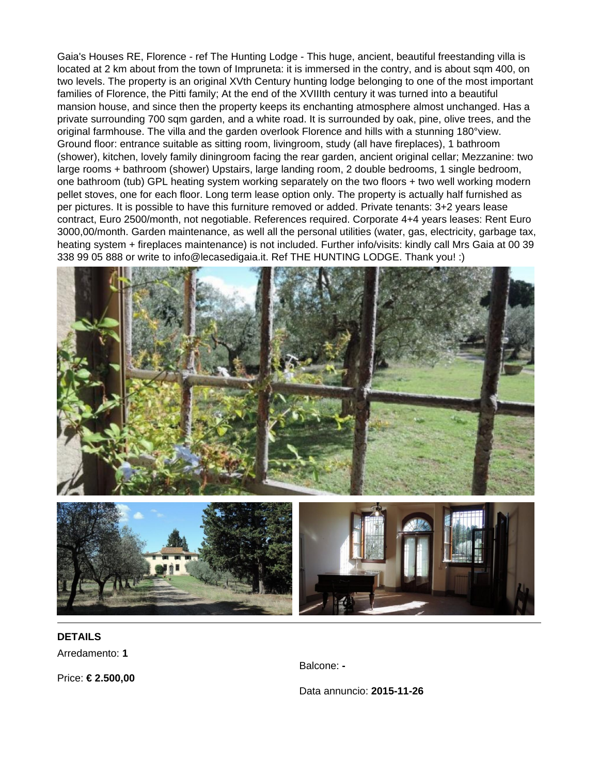Gaia's Houses RE, Florence - ref The Hunting Lodge - This huge, ancient, beautiful freestanding villa is located at 2 km about from the town of Impruneta: it is immersed in the contry, and is about sqm 400, on two levels. The property is an original XVth Century hunting lodge belonging to one of the most important families of Florence, the Pitti family; At the end of the XVIIIth century it was turned into a beautiful mansion house, and since then the property keeps its enchanting atmosphere almost unchanged. Has a private surrounding 700 sqm garden, and a white road. It is surrounded by oak, pine, olive trees, and the original farmhouse. The villa and the garden overlook Florence and hills with a stunning 180°view. Ground floor: entrance suitable as sitting room, livingroom, study (all have fireplaces), 1 bathroom (shower), kitchen, lovely family diningroom facing the rear garden, ancient original cellar; Mezzanine: two large rooms + bathroom (shower) Upstairs, large landing room, 2 double bedrooms, 1 single bedroom, one bathroom (tub) GPL heating system working separately on the two floors + two well working modern pellet stoves, one for each floor. Long term lease option only. The property is actually half furnished as per pictures. It is possible to have this furniture removed or added. Private tenants: 3+2 years lease contract, Euro 2500/month, not negotiable. References required. Corporate 4+4 years leases: Rent Euro 3000,00/month. Garden maintenance, as well all the personal utilities (water, gas, electricity, garbage tax, heating system + fireplaces maintenance) is not included. Further info/visits: kindly call Mrs Gaia at 00 39 338 99 05 888 or write to info@lecasedigaia.it. Ref THE HUNTING LODGE. Thank you! :)



## **DETAILS** Arredamento: **1**

Balcone: **-**

Price: **€ 2.500,00**

Data annuncio: **2015-11-26**